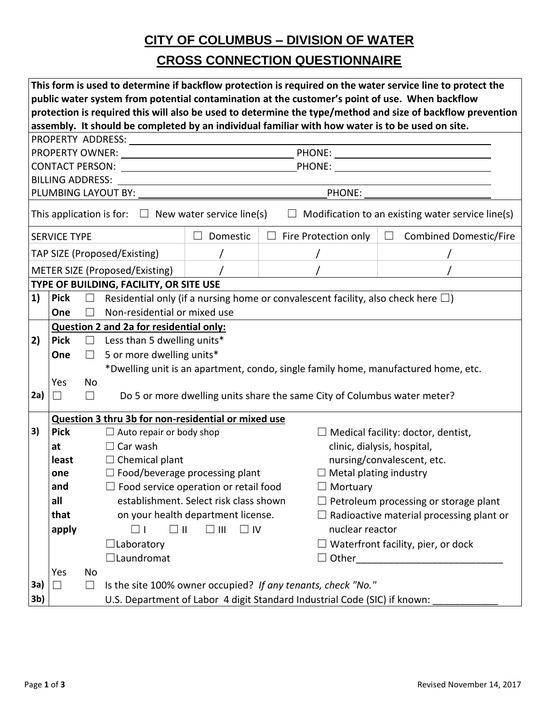### **CITY OF COLUMBUS – DIVISION OF WATER**

### **CROSS CONNECTION QUESTIONNAIRE**

| This form is used to determine if backflow protection is required on the water service line to protect the            |                                                                                                                                                                                                              |                   |                                                                                           |                                                              |  |                                                                          |                                                                                    |  |  |  |  |  |  |
|-----------------------------------------------------------------------------------------------------------------------|--------------------------------------------------------------------------------------------------------------------------------------------------------------------------------------------------------------|-------------------|-------------------------------------------------------------------------------------------|--------------------------------------------------------------|--|--------------------------------------------------------------------------|------------------------------------------------------------------------------------|--|--|--|--|--|--|
|                                                                                                                       | public water system from potential contamination at the customer's point of use. When backflow<br>protection is required this will also be used to determine the type/method and size of backflow prevention |                   |                                                                                           |                                                              |  |                                                                          |                                                                                    |  |  |  |  |  |  |
|                                                                                                                       | assembly. It should be completed by an individual familiar with how water is to be used on site.                                                                                                             |                   |                                                                                           |                                                              |  |                                                                          |                                                                                    |  |  |  |  |  |  |
|                                                                                                                       |                                                                                                                                                                                                              |                   |                                                                                           |                                                              |  |                                                                          |                                                                                    |  |  |  |  |  |  |
|                                                                                                                       |                                                                                                                                                                                                              |                   |                                                                                           |                                                              |  |                                                                          |                                                                                    |  |  |  |  |  |  |
|                                                                                                                       |                                                                                                                                                                                                              |                   |                                                                                           |                                                              |  |                                                                          |                                                                                    |  |  |  |  |  |  |
|                                                                                                                       |                                                                                                                                                                                                              |                   |                                                                                           |                                                              |  |                                                                          |                                                                                    |  |  |  |  |  |  |
|                                                                                                                       |                                                                                                                                                                                                              |                   |                                                                                           |                                                              |  |                                                                          |                                                                                    |  |  |  |  |  |  |
| This application is for: $\Box$ New water service line(s)<br>$\Box$ Modification to an existing water service line(s) |                                                                                                                                                                                                              |                   |                                                                                           |                                                              |  |                                                                          |                                                                                    |  |  |  |  |  |  |
| <b>SERVICE TYPE</b>                                                                                                   |                                                                                                                                                                                                              |                   |                                                                                           | Domestic<br>$\Box$                                           |  | $\Box$ Fire Protection only                                              | $\Box$ Combined Domestic/Fire                                                      |  |  |  |  |  |  |
| TAP SIZE (Proposed/Existing)                                                                                          |                                                                                                                                                                                                              |                   |                                                                                           |                                                              |  |                                                                          |                                                                                    |  |  |  |  |  |  |
|                                                                                                                       |                                                                                                                                                                                                              |                   | METER SIZE (Proposed/Existing)                                                            |                                                              |  |                                                                          |                                                                                    |  |  |  |  |  |  |
|                                                                                                                       | TYPE OF BUILDING, FACILITY, OR SITE USE                                                                                                                                                                      |                   |                                                                                           |                                                              |  |                                                                          |                                                                                    |  |  |  |  |  |  |
| 1)                                                                                                                    | <b>Pick</b>                                                                                                                                                                                                  | $\Box$            | Residential only (if a nursing home or convalescent facility, also check here $\square$ ) |                                                              |  |                                                                          |                                                                                    |  |  |  |  |  |  |
|                                                                                                                       | One                                                                                                                                                                                                          | $\Box$            | Non-residential or mixed use                                                              |                                                              |  |                                                                          |                                                                                    |  |  |  |  |  |  |
|                                                                                                                       |                                                                                                                                                                                                              |                   | <b>Question 2 and 2a for residential only:</b>                                            |                                                              |  |                                                                          |                                                                                    |  |  |  |  |  |  |
| 2)                                                                                                                    | <b>Pick</b>                                                                                                                                                                                                  |                   | $\Box$ Less than 5 dwelling units*                                                        |                                                              |  |                                                                          |                                                                                    |  |  |  |  |  |  |
|                                                                                                                       | One                                                                                                                                                                                                          | $\Box$            | 5 or more dwelling units*                                                                 |                                                              |  |                                                                          |                                                                                    |  |  |  |  |  |  |
|                                                                                                                       |                                                                                                                                                                                                              |                   |                                                                                           |                                                              |  |                                                                          | *Dwelling unit is an apartment, condo, single family home, manufactured home, etc. |  |  |  |  |  |  |
|                                                                                                                       | Yes                                                                                                                                                                                                          | No                |                                                                                           |                                                              |  |                                                                          |                                                                                    |  |  |  |  |  |  |
| 2a)                                                                                                                   | $\Box$                                                                                                                                                                                                       | $\vert \ \ \vert$ |                                                                                           |                                                              |  | Do 5 or more dwelling units share the same City of Columbus water meter? |                                                                                    |  |  |  |  |  |  |
|                                                                                                                       | Question 3 thru 3b for non-residential or mixed use                                                                                                                                                          |                   |                                                                                           |                                                              |  |                                                                          |                                                                                    |  |  |  |  |  |  |
| 3)                                                                                                                    | <b>Pick</b><br>$\Box$ Auto repair or body shop<br>$\Box$ Medical facility: doctor, dentist,                                                                                                                  |                   |                                                                                           |                                                              |  |                                                                          |                                                                                    |  |  |  |  |  |  |
|                                                                                                                       | at                                                                                                                                                                                                           |                   | $\Box$ Car wash                                                                           |                                                              |  |                                                                          | clinic, dialysis, hospital,                                                        |  |  |  |  |  |  |
|                                                                                                                       | least                                                                                                                                                                                                        |                   | $\Box$ Chemical plant                                                                     |                                                              |  |                                                                          | nursing/convalescent, etc.                                                         |  |  |  |  |  |  |
|                                                                                                                       | one                                                                                                                                                                                                          |                   | $\Box$ Food/beverage processing plant                                                     |                                                              |  |                                                                          | $\Box$ Metal plating industry                                                      |  |  |  |  |  |  |
|                                                                                                                       | and                                                                                                                                                                                                          |                   | $\Box$ Food service operation or retail food                                              |                                                              |  |                                                                          | $\Box$ Mortuary                                                                    |  |  |  |  |  |  |
|                                                                                                                       | all                                                                                                                                                                                                          |                   |                                                                                           | establishment. Select risk class shown                       |  |                                                                          | Petroleum processing or storage plant                                              |  |  |  |  |  |  |
|                                                                                                                       | that                                                                                                                                                                                                         |                   |                                                                                           | on your health department license.                           |  |                                                                          | $\Box$ Radioactive material processing plant or                                    |  |  |  |  |  |  |
|                                                                                                                       | apply                                                                                                                                                                                                        |                   | $\square$ II                                                                              | $\square$ III<br>$\Box$ IV                                   |  |                                                                          | nuclear reactor                                                                    |  |  |  |  |  |  |
|                                                                                                                       |                                                                                                                                                                                                              |                   | $\Box$ Laboratory                                                                         |                                                              |  |                                                                          | $\Box$ Waterfront facility, pier, or dock                                          |  |  |  |  |  |  |
|                                                                                                                       |                                                                                                                                                                                                              |                   | $\Box$ Laundromat                                                                         |                                                              |  |                                                                          | $\Box$ Other and $\Box$ Other and $\Box$                                           |  |  |  |  |  |  |
|                                                                                                                       | Yes                                                                                                                                                                                                          | No                |                                                                                           |                                                              |  |                                                                          |                                                                                    |  |  |  |  |  |  |
| 3a)                                                                                                                   | $\Box$                                                                                                                                                                                                       | $\mathsf{L}$      |                                                                                           | Is the site 100% owner occupied? If any tenants, check "No." |  |                                                                          |                                                                                    |  |  |  |  |  |  |
| 3 <sub>b</sub>                                                                                                        |                                                                                                                                                                                                              |                   | U.S. Department of Labor 4 digit Standard Industrial Code (SIC) if known:                 |                                                              |  |                                                                          |                                                                                    |  |  |  |  |  |  |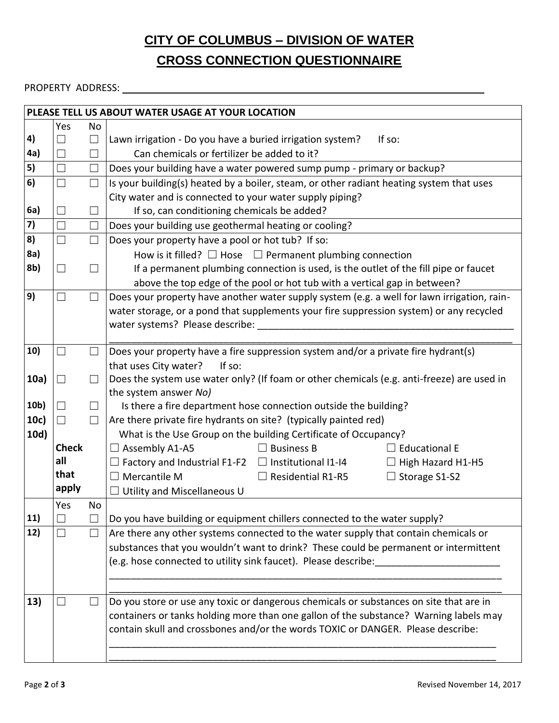# **CITY OF COLUMBUS – DIVISION OF WATER**

#### **CROSS CONNECTION QUESTIONNAIRE**

#### PROPERTY ADDRESS:

|      |                   |                   | PLEASE TELL US ABOUT WATER USAGE AT YOUR LOCATION                                           |  |  |  |  |  |  |
|------|-------------------|-------------------|---------------------------------------------------------------------------------------------|--|--|--|--|--|--|
|      | Yes               | <b>No</b>         |                                                                                             |  |  |  |  |  |  |
| 4)   | M                 | $\Box$            | Lawn irrigation - Do you have a buried irrigation system?<br>If so:                         |  |  |  |  |  |  |
| 4a)  | $\Box$            | П                 | Can chemicals or fertilizer be added to it?                                                 |  |  |  |  |  |  |
| 5)   | $\Box$            | $\Box$            | Does your building have a water powered sump pump - primary or backup?                      |  |  |  |  |  |  |
| 6)   | $\Box$            |                   | Is your building(s) heated by a boiler, steam, or other radiant heating system that uses    |  |  |  |  |  |  |
|      |                   |                   | City water and is connected to your water supply piping?                                    |  |  |  |  |  |  |
| 6a)  | $\vert \ \ \vert$ | $\vert \ \ \vert$ | If so, can conditioning chemicals be added?                                                 |  |  |  |  |  |  |
| 7)   | $\Box$            | $\Box$            | Does your building use geothermal heating or cooling?                                       |  |  |  |  |  |  |
| 8)   | $\Box$            | $\Box$            | Does your property have a pool or hot tub? If so:                                           |  |  |  |  |  |  |
| 8a)  |                   |                   | How is it filled? $\Box$ Hose $\Box$ Permanent plumbing connection                          |  |  |  |  |  |  |
| 8b)  | $\Box$            | $\blacksquare$    | If a permanent plumbing connection is used, is the outlet of the fill pipe or faucet        |  |  |  |  |  |  |
|      |                   |                   | above the top edge of the pool or hot tub with a vertical gap in between?                   |  |  |  |  |  |  |
| 9)   | $\Box$            | П                 | Does your property have another water supply system (e.g. a well for lawn irrigation, rain- |  |  |  |  |  |  |
|      |                   |                   | water storage, or a pond that supplements your fire suppression system) or any recycled     |  |  |  |  |  |  |
|      |                   |                   | water systems? Please describe: ___                                                         |  |  |  |  |  |  |
|      |                   |                   |                                                                                             |  |  |  |  |  |  |
| 10)  | $\Box$            | $\Box$            | Does your property have a fire suppression system and/or a private fire hydrant(s)          |  |  |  |  |  |  |
|      |                   |                   | that uses City water?<br>If so:                                                             |  |  |  |  |  |  |
| 10a) | $\Box$            |                   | Does the system use water only? (If foam or other chemicals (e.g. anti-freeze) are used in  |  |  |  |  |  |  |
|      |                   |                   | the system answer No)                                                                       |  |  |  |  |  |  |
| 10b) | $\Box$            | $\Box$            | Is there a fire department hose connection outside the building?                            |  |  |  |  |  |  |
| 10c) | $\Box$            |                   | Are there private fire hydrants on site? (typically painted red)                            |  |  |  |  |  |  |
| 10d) |                   |                   | What is the Use Group on the building Certificate of Occupancy?                             |  |  |  |  |  |  |
|      | <b>Check</b>      |                   | $\Box$ Assembly A1-A5<br>$\Box$ Business B<br>$\Box$ Educational E                          |  |  |  |  |  |  |
|      | all               |                   | $\Box$ Factory and Industrial F1-F2 $\Box$ Institutional I1-I4<br>$\Box$ High Hazard H1-H5  |  |  |  |  |  |  |
|      | that              |                   | $\Box$ Mercantile M<br>$\Box$ Residential R1-R5<br>$\Box$ Storage S1-S2                     |  |  |  |  |  |  |
|      | apply             |                   | $\Box$ Utility and Miscellaneous U                                                          |  |  |  |  |  |  |
|      | Yes               | No                |                                                                                             |  |  |  |  |  |  |
| 11)  |                   |                   | Do you have building or equipment chillers connected to the water supply?                   |  |  |  |  |  |  |
| 12)  |                   |                   | Are there any other systems connected to the water supply that contain chemicals or         |  |  |  |  |  |  |
|      |                   |                   | substances that you wouldn't want to drink? These could be permanent or intermittent        |  |  |  |  |  |  |
|      |                   |                   | (e.g. hose connected to utility sink faucet). Please describe:                              |  |  |  |  |  |  |
|      |                   |                   |                                                                                             |  |  |  |  |  |  |
|      |                   |                   |                                                                                             |  |  |  |  |  |  |
| 13)  | $\sim$            |                   | Do you store or use any toxic or dangerous chemicals or substances on site that are in      |  |  |  |  |  |  |
|      |                   |                   | containers or tanks holding more than one gallon of the substance? Warning labels may       |  |  |  |  |  |  |
|      |                   |                   | contain skull and crossbones and/or the words TOXIC or DANGER. Please describe:             |  |  |  |  |  |  |
|      |                   |                   |                                                                                             |  |  |  |  |  |  |
|      |                   |                   |                                                                                             |  |  |  |  |  |  |